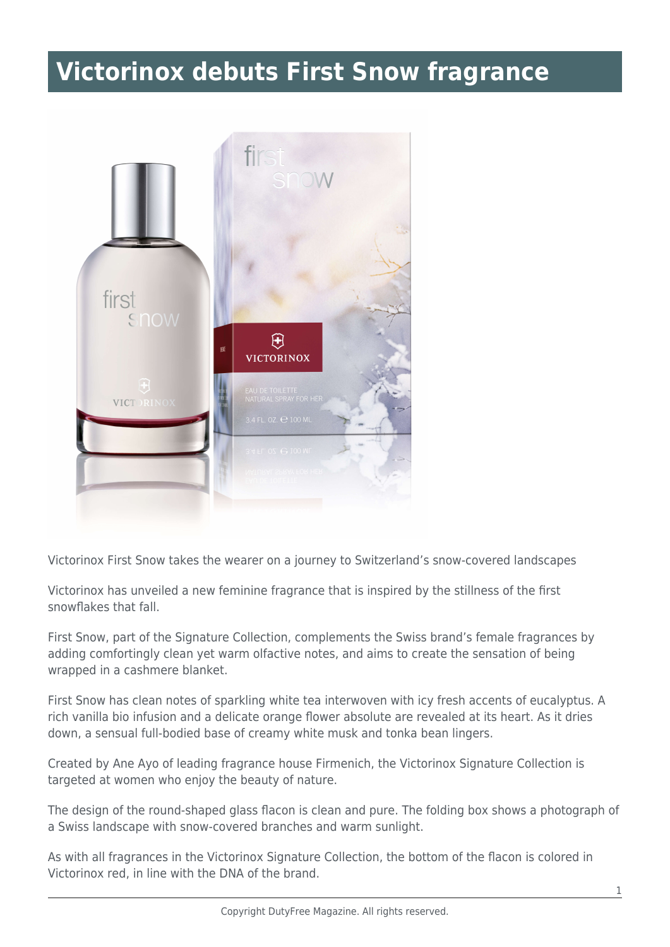## **Victorinox debuts First Snow fragrance**



Victorinox First Snow takes the wearer on a journey to Switzerland's snow-covered landscapes

Victorinox has unveiled a new feminine fragrance that is inspired by the stillness of the first snowflakes that fall.

First Snow, part of the Signature Collection, complements the Swiss brand's female fragrances by adding comfortingly clean yet warm olfactive notes, and aims to create the sensation of being wrapped in a cashmere blanket.

First Snow has clean notes of sparkling white tea interwoven with icy fresh accents of eucalyptus. A rich vanilla bio infusion and a delicate orange flower absolute are revealed at its heart. As it dries down, a sensual full-bodied base of creamy white musk and tonka bean lingers.

Created by Ane Ayo of leading fragrance house Firmenich, the Victorinox Signature Collection is targeted at women who enjoy the beauty of nature.

The design of the round-shaped glass flacon is clean and pure. The folding box shows a photograph of a Swiss landscape with snow-covered branches and warm sunlight.

As with all fragrances in the Victorinox Signature Collection, the bottom of the flacon is colored in Victorinox red, in line with the DNA of the brand.